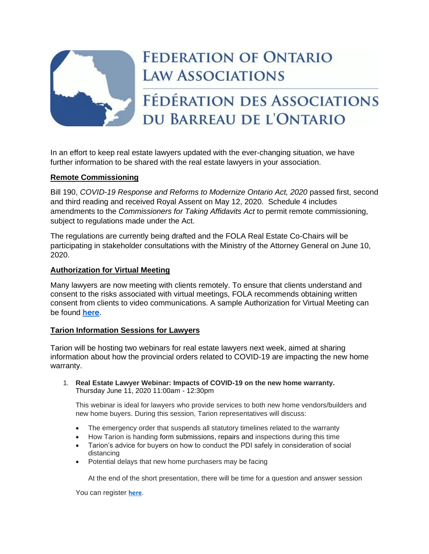

# **FEDERATION OF ONTARIO LAW ASSOCIATIONS**

# FÉDÉRATION DES ASSOCIATIONS DU BARREAU DE L'ONTARIO

In an effort to keep real estate lawyers updated with the ever-changing situation, we have further information to be shared with the real estate lawyers in your association.

## **Remote Commissioning**

Bill 190, *COVID-19 Response and Reforms to Modernize Ontario Act, 2020* passed first, second and third reading and received Royal Assent on May 12, 2020. Schedule 4 includes amendments to the *Commissioners for Taking Affidavits Act* to permit remote commissioning, subject to regulations made under the Act.

The regulations are currently being drafted and the FOLA Real Estate Co-Chairs will be participating in stakeholder consultations with the Ministry of the Attorney General on June 10, 2020.

## **Authorization for Virtual Meeting**

Many lawyers are now meeting with clients remotely. To ensure that clients understand and consent to the risks associated with virtual meetings, FOLA recommends obtaining written consent from clients to video communications. A sample Authorization for Virtual Meeting can be found **[here](https://img1.wsimg.com/blobby/go/63f6349d-d85d-4511-bc5f-4314d54b45d0/downloads/Authorization%20For%20Virtual%20Meeting.pdf?ver=1591216845749)**.

### **Tarion Information Sessions for Lawyers**

Tarion will be hosting two webinars for real estate lawyers next week, aimed at sharing information about how the provincial orders related to COVID-19 are impacting the new home warranty.

1. **Real Estate Lawyer Webinar: Impacts of COVID-19 on the new home warranty.** Thursday June 11, 2020 11:00am - 12:30pm

This webinar is ideal for lawyers who provide services to both new home vendors/builders and new home buyers. During this session, Tarion representatives will discuss:

- The emergency order that suspends all statutory timelines related to the warranty
- How Tarion is handing form submissions, repairs and inspections during this time
- Tarion's advice for buyers on how to conduct the PDI safely in consideration of social distancing
- Potential delays that new home purchasers may be facing

At the end of the short presentation, there will be time for a question and answer session

You can register **[here](https://register.gotowebinar.com/register/8646155227899738125)**.